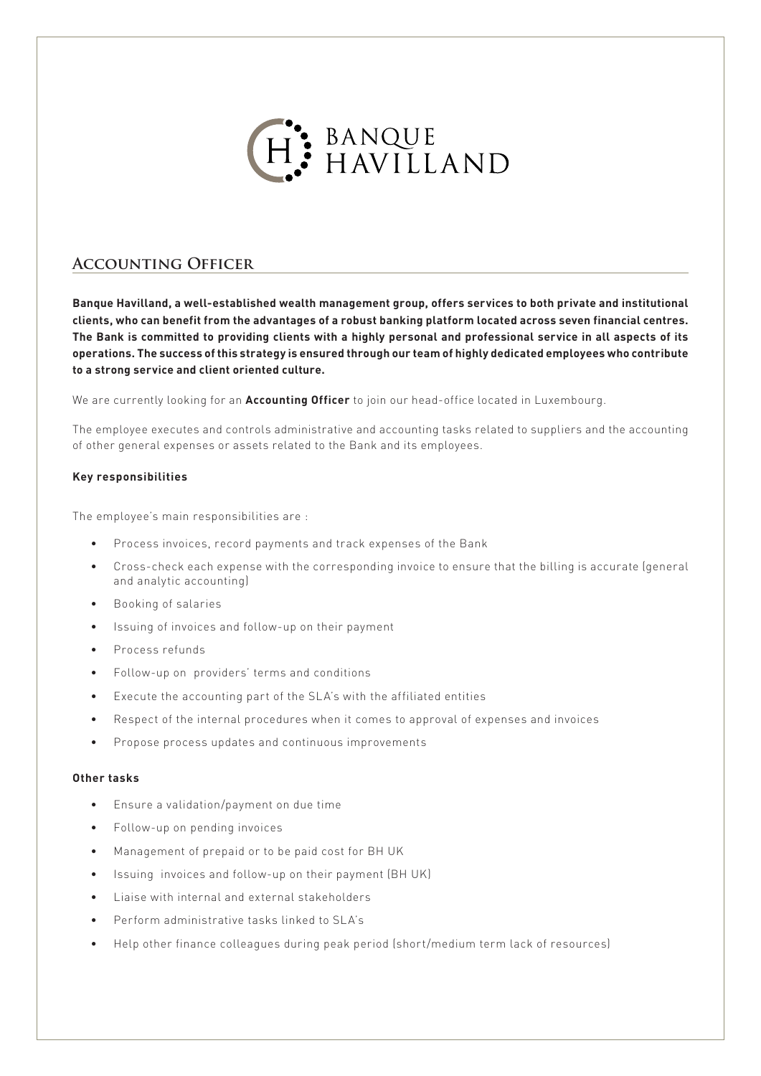

# **Accounting Officer**

**Banque Havilland, a well-established wealth management group, offers services to both private and institutional clients, who can benefit from the advantages of a robust banking platform located across seven financial centres. The Bank is committed to providing clients with a highly personal and professional service in all aspects of its operations. The success of this strategy is ensured through our team of highly dedicated employees who contribute to a strong service and client oriented culture.**

We are currently looking for an **Accounting Officer** to join our head-office located in Luxembourg.

The employee executes and controls administrative and accounting tasks related to suppliers and the accounting of other general expenses or assets related to the Bank and its employees.

# **Key responsibilities**

The employee's main responsibilities are :

- Process invoices, record payments and track expenses of the Bank
- Cross-check each expense with the corresponding invoice to ensure that the billing is accurate (general and analytic accounting)
- Booking of salaries
- Issuing of invoices and follow-up on their payment
- Process refunds
- Follow-up on providers' terms and conditions
- Execute the accounting part of the SLA's with the affiliated entities
- Respect of the internal procedures when it comes to approval of expenses and invoices
- Propose process updates and continuous improvements

#### **Other tasks**

- Ensure a validation/payment on due time
- Follow-up on pending invoices
- Management of prepaid or to be paid cost for BH UK
- Issuing invoices and follow-up on their payment (BH UK)
- Liaise with internal and external stakeholders
- Perform administrative tasks linked to SLA's
- Help other finance colleagues during peak period (short/medium term lack of resources)